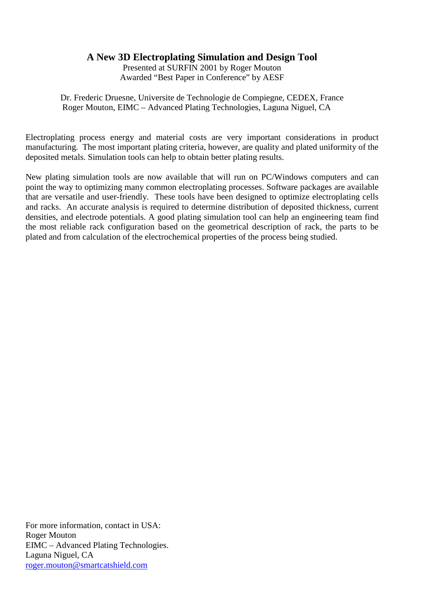# **A New 3D Electroplating Simulation and Design Tool**

Presented at SURFIN 2001 by Roger Mouton Awarded "Best Paper in Conference" by AESF

Dr. Frederic Druesne, Universite de Technologie de Compiegne, CEDEX, France Roger Mouton, EIMC – Advanced Plating Technologies, Laguna Niguel, CA

Electroplating process energy and material costs are very important considerations in product manufacturing. The most important plating criteria, however, are quality and plated uniformity of the deposited metals. Simulation tools can help to obtain better plating results.

New plating simulation tools are now available that will run on PC/Windows computers and can point the way to optimizing many common electroplating processes. Software packages are available that are versatile and user-friendly. These tools have been designed to optimize electroplating cells and racks. An accurate analysis is required to determine distribution of deposited thickness, current densities, and electrode potentials. A good plating simulation tool can help an engineering team find the most reliable rack configuration based on the geometrical description of rack, the parts to be plated and from calculation of the electrochemical properties of the process being studied.

For more information, contact in USA: Roger Mouton EIMC – Advanced Plating Technologies. Laguna Niguel, CA [roger.mouton@smartcatshield.com](mailto:roger.mouton@smartcatshield.com)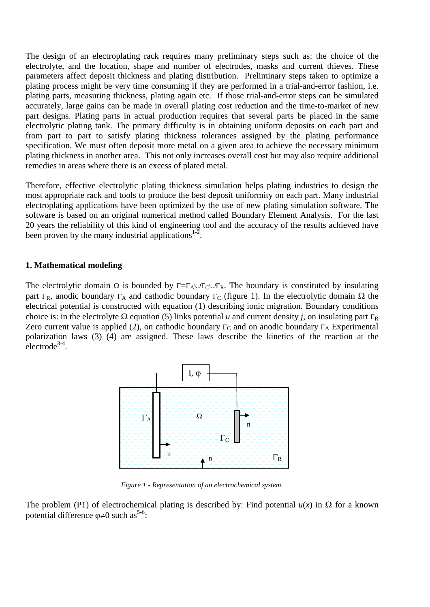The design of an electroplating rack requires many preliminary steps such as: the choice of the electrolyte, and the location, shape and number of electrodes, masks and current thieves. These parameters affect deposit thickness and plating distribution. Preliminary steps taken to optimize a plating process might be very time consuming if they are performed in a trial-and-error fashion, i.e. plating parts, measuring thickness, plating again etc. If those trial-and-error steps can be simulated accurately, large gains can be made in overall plating cost reduction and the time-to-market of new part designs. Plating parts in actual production requires that several parts be placed in the same electrolytic plating tank. The primary difficulty is in obtaining uniform deposits on each part and from part to part to satisfy plating thickness tolerances assigned by the plating performance specification. We must often deposit more metal on a given area to achieve the necessary minimum plating thickness in another area. This not only increases overall cost but may also require additional remedies in areas where there is an excess of plated metal.

Therefore, effective electrolytic plating thickness simulation helps plating industries to design the most appropriate rack and tools to produce the best deposit uniformity on each part. Many industrial electroplating applications have been optimized by the use of new plating simulation software. The software is based on an original numerical method called Boundary Element Analysis. For the last 20 years the reliability of this kind of engineering tool and the accuracy of the results achieved have been proven by the many industrial applications $1-2$ .

#### **1. Mathematical modeling**

The electrolytic domain  $\Omega$  is bounded by  $\Gamma = \Gamma_A \cup \Gamma_C \cup \Gamma_R$ . The boundary is constituted by insulating part Γ<sub>R</sub>, anodic boundary Γ<sub>A</sub> and cathodic boundary Γ<sub>C</sub> (figure 1). In the electrolytic domain  $\Omega$  the electrical potential is constructed with equation (1) describing ionic migration. Boundary conditions choice is: in the electrolyte  $\Omega$  equation (5) links potential *u* and current density *j*, on insulating part Γ<sub>R</sub> Zero current value is applied (2), on cathodic boundary  $\Gamma_C$  and on anodic boundary  $\Gamma_A$  Experimental polarization laws (3) (4) are assigned. These laws describe the kinetics of the reaction at the  $\text{electrode}^{3-4}$ .



*Figure 1 - Representation of an electrochemical system.*

The problem (P1) of electrochemical plating is described by: Find potential  $u(x)$  in  $\Omega$  for a known potential difference  $\varphi \neq 0$  such as<sup>5-6</sup>: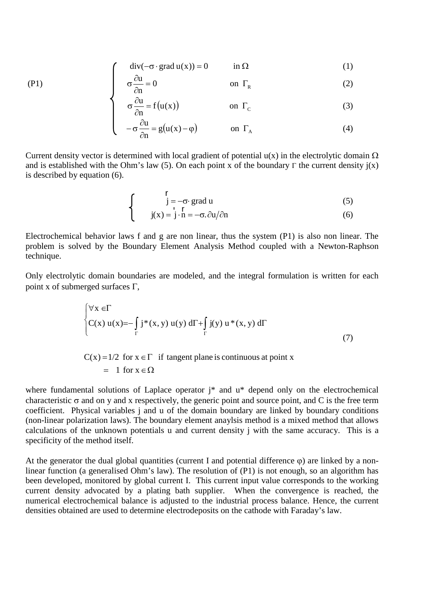$$
\int \operatorname{div}(-\sigma \cdot \operatorname{grad} u(x)) = 0 \qquad \text{in } \Omega \tag{1}
$$

$$
\sigma \frac{\partial u}{\partial n} = 0 \qquad \text{on } \Gamma_R \tag{2}
$$

$$
\sigma \frac{\partial u}{\partial n} = f(u(x)) \qquad \text{on } \Gamma_c \tag{3}
$$

$$
\begin{cases}\n-\sigma \frac{\partial u}{\partial n} = g(u(x) - \varphi) & \text{on } \Gamma_A\n\end{cases} (4)
$$

Current density vector is determined with local gradient of potential  $u(x)$  in the electrolytic domain  $\Omega$ and is established with the Ohm's law (5). On each point x of the boundary  $\Gamma$  the current density  $i(x)$ is described by equation (6).

$$
\begin{cases}\n\mathbf{r} \\
\mathbf{j} = -\sigma \cdot \text{grad } \mathbf{u} \\
\mathbf{j}(\mathbf{x}) = \mathbf{j} \cdot \mathbf{n} = -\sigma \cdot \partial \mathbf{u} / \partial \mathbf{n}\n\end{cases}
$$
\n(5)

Electrochemical behavior laws f and g are non linear, thus the system (P1) is also non linear. The problem is solved by the Boundary Element Analysis Method coupled with a Newton-Raphson technique.

Only electrolytic domain boundaries are modeled, and the integral formulation is written for each point x of submerged surfaces  $\Gamma$ ,

$$
\begin{cases} \forall x \in \Gamma \\ C(x) u(x) = -\int_{\Gamma} j^*(x, y) u(y) d\Gamma + \int_{\Gamma} j(y) u^*(x, y) d\Gamma \\ & (7) \end{cases}
$$

$$
C(x) = 1/2 \text{ for } x \in \Gamma \text{ if tangent plane is continuous at point x}
$$
  
= 1 for  $x \in \Omega$ 

where fundamental solutions of Laplace operator j\* and  $u^*$  depend only on the electrochemical characteristic  $\sigma$  and on y and x respectively, the generic point and source point, and C is the free term coefficient. Physical variables j and u of the domain boundary are linked by boundary conditions (non-linear polarization laws). The boundary element anaylsis method is a mixed method that allows calculations of the unknown potentials u and current density j with the same accuracy. This is a specificity of the method itself.

At the generator the dual global quantities (current I and potential difference  $\varphi$ ) are linked by a nonlinear function (a generalised Ohm's law). The resolution of (P1) is not enough, so an algorithm has been developed, monitored by global current I. This current input value corresponds to the working current density advocated by a plating bath supplier. When the convergence is reached, the numerical electrochemical balance is adjusted to the industrial process balance. Hence, the current densities obtained are used to determine electrodeposits on the cathode with Faraday's law.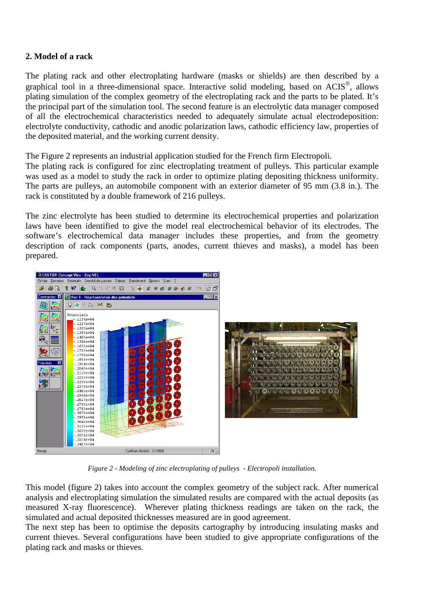# **2. Model of a rack**

The plating rack and other electroplating hardware (masks or shields) are then described by a graphical tool in a three-dimensional space. Interactive solid modeling, based on  $ACIS^{\circledast}$ , allows plating simulation of the complex geometry of the electroplating rack and the parts to be plated. It's the principal part of the simulation tool. The second feature is an electrolytic data manager composed of all the electrochemical characteristics needed to adequately simulate actual electrodeposition: electrolyte conductivity, cathodic and anodic polarization laws, cathodic efficiency law, properties of the deposited material, and the working current density.

The Figure 2 represents an industrial application studied for the French firm Electropoli.

The plating rack is configured for zinc electroplating treatment of pulleys. This particular example was used as a model to study the rack in order to optimize plating depositing thickness uniformity. The parts are pulleys, an automobile component with an exterior diameter of 95 mm (3.8 in.). The rack is constituted by a double framework of 216 pulleys.

The zinc electrolyte has been studied to determine its electrochemical properties and polarization laws have been identified to give the model real electrochemical behavior of its electrodes. The software's electrochemical data manager includes these properties, and from the geometry description of rack components (parts, anodes, current thieves and masks), a model has been prepared.



*Figure 2 - Modeling of zinc electroplating of pulleys - Electropoli installation.*

This model (figure 2) takes into account the complex geometry of the subject rack. After numerical analysis and electroplating simulation the simulated results are compared with the actual deposits (as measured X-ray fluorescence). Wherever plating thickness readings are taken on the rack, the simulated and actual deposited thicknesses measured are in good agreement.

The next step has been to optimise the deposits cartography by introducing insulating masks and current thieves. Several configurations have been studied to give appropriate configurations of the plating rack and masks or thieves.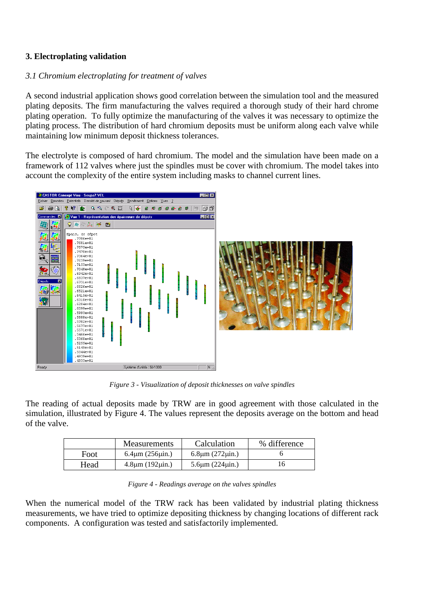# **3. Electroplating validation**

# *3.1 Chromium electroplating for treatment of valves*

A second industrial application shows good correlation between the simulation tool and the measured plating deposits. The firm manufacturing the valves required a thorough study of their hard chrome plating operation. To fully optimize the manufacturing of the valves it was necessary to optimize the plating process. The distribution of hard chromium deposits must be uniform along each valve while maintaining low minimum deposit thickness tolerances.

The electrolyte is composed of hard chromium. The model and the simulation have been made on a framework of 112 valves where just the spindles must be cover with chromium. The model takes into account the complexity of the entire system including masks to channel current lines.



*Figure 3 - Visualization of deposit thicknesses on valve spindles*

The reading of actual deposits made by TRW are in good agreement with those calculated in the simulation, illustrated by Figure 4. The values represent the deposits average on the bottom and head of the valve.

|      | <b>Measurements</b>     | Calculation             | % difference |
|------|-------------------------|-------------------------|--------------|
| Foot | $6.4 \mu m (256 \mu m)$ | $6.8 \mu m (272 \mu m)$ |              |
| Head | $4.8\mu m (192\mu in.)$ | $5.6 \mu m (224 \mu m)$ |              |

When the numerical model of the TRW rack has been validated by industrial plating thickness measurements, we have tried to optimize depositing thickness by changing locations of different rack components. A configuration was tested and satisfactorily implemented.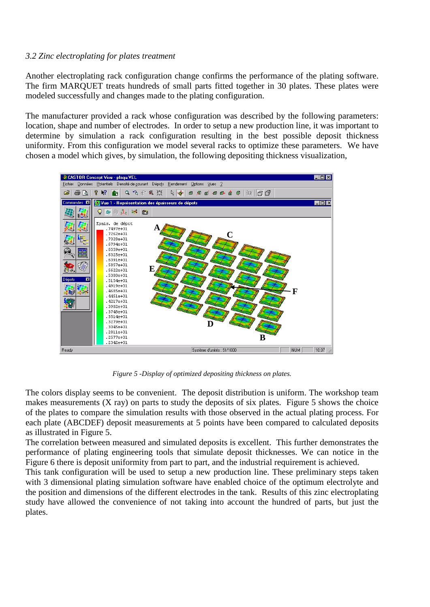#### *3.2 Zinc electroplating for plates treatment*

Another electroplating rack configuration change confirms the performance of the plating software. The firm MARQUET treats hundreds of small parts fitted together in 30 plates. These plates were modeled successfully and changes made to the plating configuration.

The manufacturer provided a rack whose configuration was described by the following parameters: location, shape and number of electrodes. In order to setup a new production line, it was important to determine by simulation a rack configuration resulting in the best possible deposit thickness uniformity. From this configuration we model several racks to optimize these parameters. We have chosen a model which gives, by simulation, the following depositing thickness visualization,



*Figure 5 -Display of optimized depositing thickness on plates.*

The colors display seems to be convenient. The deposit distribution is uniform. The workshop team makes measurements (X ray) on parts to study the deposits of six plates. Figure 5 shows the choice of the plates to compare the simulation results with those observed in the actual plating process. For each plate (ABCDEF) deposit measurements at 5 points have been compared to calculated deposits as illustrated in Figure 5.

The correlation between measured and simulated deposits is excellent. This further demonstrates the performance of plating engineering tools that simulate deposit thicknesses. We can notice in the Figure 6 there is deposit uniformity from part to part, and the industrial requirement is achieved.

This tank configuration will be used to setup a new production line. These preliminary steps taken with 3 dimensional plating simulation software have enabled choice of the optimum electrolyte and the position and dimensions of the different electrodes in the tank. Results of this zinc electroplating study have allowed the convenience of not taking into account the hundred of parts, but just the plates.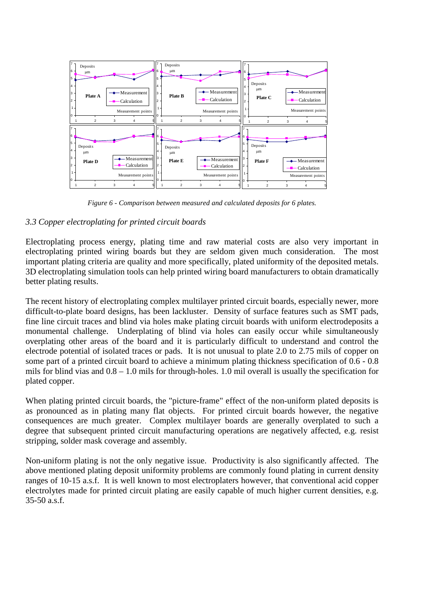

*Figure 6 - Comparison between measured and calculated deposits for 6 plates.*

# *3.3 Copper electroplating for printed circuit boards*

Electroplating process energy, plating time and raw material costs are also very important in electroplating printed wiring boards but they are seldom given much consideration. The most important plating criteria are quality and more specifically, plated uniformity of the deposited metals. 3D electroplating simulation tools can help printed wiring board manufacturers to obtain dramatically better plating results.

The recent history of electroplating complex multilayer printed circuit boards, especially newer, more difficult-to-plate board designs, has been lackluster. Density of surface features such as SMT pads, fine line circuit traces and blind via holes make plating circuit boards with uniform electrodeposits a monumental challenge. Underplating of blind via holes can easily occur while simultaneously overplating other areas of the board and it is particularly difficult to understand and control the electrode potential of isolated traces or pads. It is not unusual to plate 2.0 to 2.75 mils of copper on some part of a printed circuit board to achieve a minimum plating thickness specification of 0.6 - 0.8 mils for blind vias and 0.8 – 1.0 mils for through-holes. 1.0 mil overall is usually the specification for plated copper.

When plating printed circuit boards, the "picture-frame" effect of the non-uniform plated deposits is as pronounced as in plating many flat objects. For printed circuit boards however, the negative consequences are much greater. Complex multilayer boards are generally overplated to such a degree that subsequent printed circuit manufacturing operations are negatively affected, e.g. resist stripping, solder mask coverage and assembly.

Non-uniform plating is not the only negative issue. Productivity is also significantly affected. The above mentioned plating deposit uniformity problems are commonly found plating in current density ranges of 10-15 a.s.f. It is well known to most electroplaters however, that conventional acid copper electrolytes made for printed circuit plating are easily capable of much higher current densities, e.g. 35-50 a.s.f.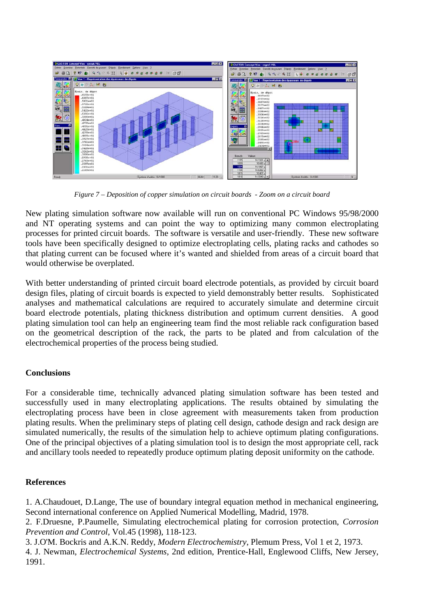

*Figure 7 – Deposition of copper simulation on circuit boards - Zoom on a circuit board*

New plating simulation software now available will run on conventional PC Windows 95/98/2000 and NT operating systems and can point the way to optimizing many common electroplating processes for printed circuit boards. The software is versatile and user-friendly. These new software tools have been specifically designed to optimize electroplating cells, plating racks and cathodes so that plating current can be focused where it's wanted and shielded from areas of a circuit board that would otherwise be overplated.

With better understanding of printed circuit board electrode potentials, as provided by circuit board design files, plating of circuit boards is expected to yield demonstrably better results. Sophisticated analyses and mathematical calculations are required to accurately simulate and determine circuit board electrode potentials, plating thickness distribution and optimum current densities. A good plating simulation tool can help an engineering team find the most reliable rack configuration based on the geometrical description of the rack, the parts to be plated and from calculation of the electrochemical properties of the process being studied.

# **Conclusions**

For a considerable time, technically advanced plating simulation software has been tested and successfully used in many electroplating applications. The results obtained by simulating the electroplating process have been in close agreement with measurements taken from production plating results. When the preliminary steps of plating cell design, cathode design and rack design are simulated numerically, the results of the simulation help to achieve optimum plating configurations. One of the principal objectives of a plating simulation tool is to design the most appropriate cell, rack and ancillary tools needed to repeatedly produce optimum plating deposit uniformity on the cathode.

# **References**

1. A.Chaudouet, D.Lange, The use of boundary integral equation method in mechanical engineering, Second international conference on Applied Numerical Modelling, Madrid, 1978.

2. F.Druesne, P.Paumelle, Simulating electrochemical plating for corrosion protection, *Corrosion Prevention and Control*, Vol.45 (1998), 118-123.

3. J.O'M. Bockris and A.K.N. Reddy, *Modern Electrochemistry*, Plemum Press, Vol 1 et 2, 1973.

4. J. Newman, *Electrochemical Systems*, 2nd edition, Prentice-Hall, Englewood Cliffs, New Jersey, 1991.